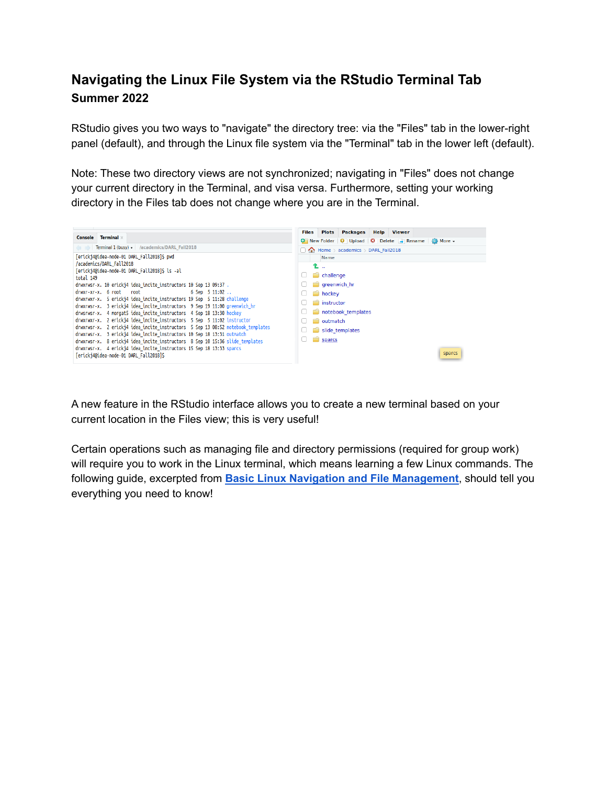### **Navigating the Linux File System via the RStudio Terminal Tab Summer 2022**

RStudio gives you two ways to "navigate" the directory tree: via the "Files" tab in the lower-right panel (default), and through the Linux file system via the "Terminal" tab in the lower left (default).

Note: These two directory views are not synchronized; navigating in "Files" does not change your current directory in the Terminal, and visa versa. Furthermore, setting your working directory in the Files tab does not change where you are in the Terminal.



A new feature in the RStudio interface allows you to create a new terminal based on your current location in the Files view; this is very useful!

Certain operations such as managing file and directory permissions (required for group work) will require you to work in the Linux terminal, which means learning a few Linux commands. The following guide, excerpted from **Basic Linux Navigation and File [Management](https://www.digitalocean.com/community/tutorials/basic-linux-navigation-and-file-management)**, should tell you everything you need to know!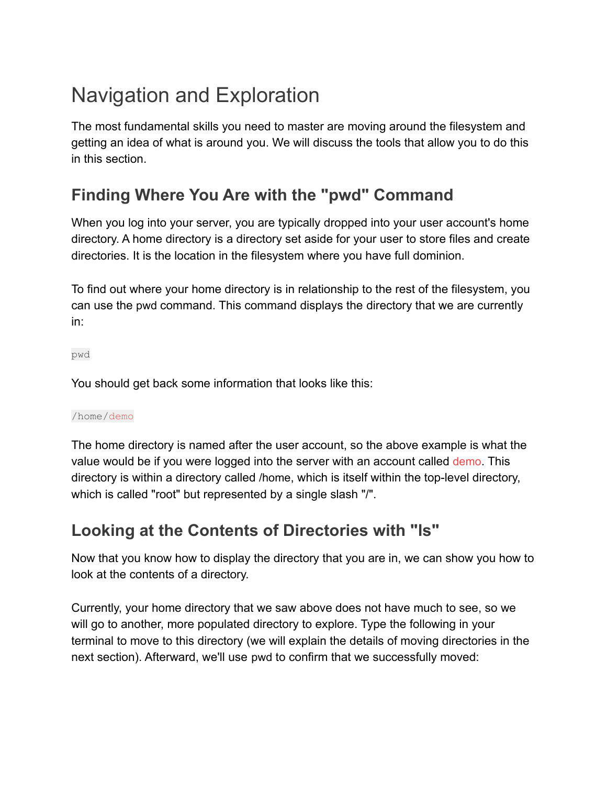# Navigation and Exploration

The most fundamental skills you need to master are moving around the filesystem and getting an idea of what is around you. We will discuss the tools that allow you to do this in this section.

# **Finding Where You Are with the "pwd" Command**

When you log into your server, you are typically dropped into your user account's home directory. A home directory is a directory set aside for your user to store files and create directories. It is the location in the filesystem where you have full dominion.

To find out where your home directory is in relationship to the rest of the filesystem, you can use the pwd command. This command displays the directory that we are currently in:

pwd

You should get back some information that looks like this:

#### /home/demo

The home directory is named after the user account, so the above example is what the value would be if you were logged into the server with an account called demo. This directory is within a directory called /home, which is itself within the top-level directory, which is called "root" but represented by a single slash "/".

### **Looking at the Contents of Directories with "ls"**

Now that you know how to display the directory that you are in, we can show you how to look at the contents of a directory.

Currently, your home directory that we saw above does not have much to see, so we will go to another, more populated directory to explore. Type the following in your terminal to move to this directory (we will explain the details of moving directories in the next section). Afterward, we'll use pwd to confirm that we successfully moved: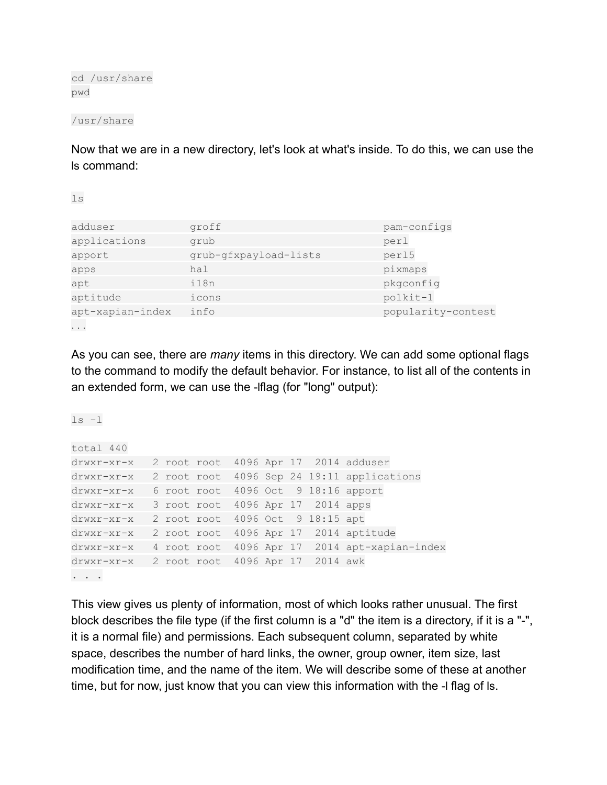cd /usr/share pwd

/usr/share

Now that we are in a new directory, let's look at what's inside. To do this, we can use the ls command:

ls

 $ls -1$ 

| adduser          | groff                 | pam-configs          |  |
|------------------|-----------------------|----------------------|--|
| applications     | grub                  | perl                 |  |
| apport           | grub-gfxpayload-lists | perl5                |  |
| apps             | hal                   | pixmaps<br>pkgconfig |  |
| apt              | i18n                  |                      |  |
| aptitude         | icons                 | polkit-1             |  |
| apt-xapian-index | info                  | popularity-contest   |  |
| $\cdots$         |                       |                      |  |

As you can see, there are *many* items in this directory. We can add some optional flags to the command to modify the default behavior. For instance, to list all of the contents in an extended form, we can use the -lflag (for "long" output):

total 440 drwxr-xr-x 2 root root 4096 Apr 17 2014 adduser drwxr-xr-x 2 root root 4096 Sep 24 19:11 applications drwxr-xr-x 6 root root 4096 Oct 9 18:16 apport drwxr-xr-x 3 root root 4096 Apr 17 2014 apps drwxr-xr-x 2 root root 4096 Oct 9 18:15 apt drwxr-xr-x 2 root root 4096 Apr 17 2014 aptitude drwxr-xr-x 4 root root 4096 Apr 17 2014 apt-xapian-index drwxr-xr-x 2 root root 4096 Apr 17 2014 awk . . .

This view gives us plenty of information, most of which looks rather unusual. The first block describes the file type (if the first column is a "d" the item is a directory, if it is a "-", it is a normal file) and permissions. Each subsequent column, separated by white space, describes the number of hard links, the owner, group owner, item size, last modification time, and the name of the item. We will describe some of these at another time, but for now, just know that you can view this information with the -l flag of ls.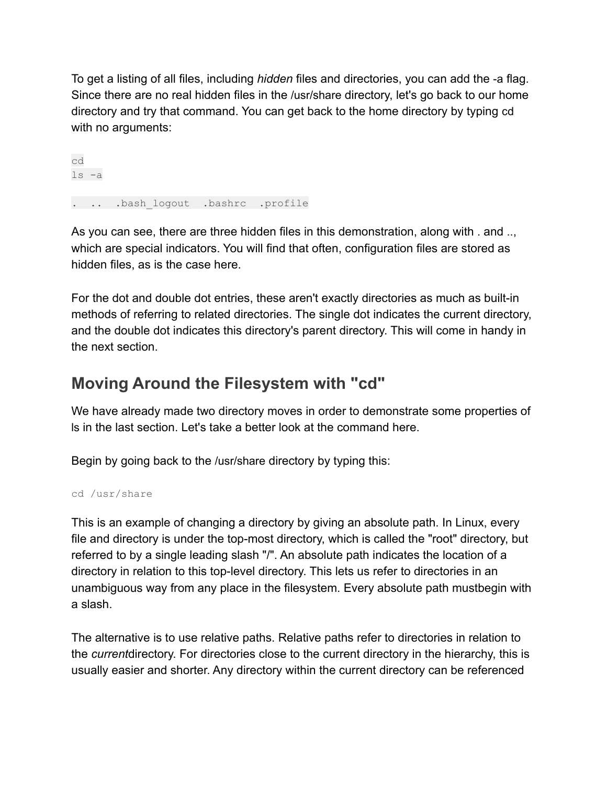To get a listing of all files, including *hidden* files and directories, you can add the -a flag. Since there are no real hidden files in the /usr/share directory, let's go back to our home directory and try that command. You can get back to the home directory by typing cd with no arguments:

cd ls -a . .. .bash logout .bashrc .profile

As you can see, there are three hidden files in this demonstration, along with . and .., which are special indicators. You will find that often, configuration files are stored as hidden files, as is the case here.

For the dot and double dot entries, these aren't exactly directories as much as built-in methods of referring to related directories. The single dot indicates the current directory, and the double dot indicates this directory's parent directory. This will come in handy in the next section.

## **Moving Around the Filesystem with "cd"**

We have already made two directory moves in order to demonstrate some properties of ls in the last section. Let's take a better look at the command here.

Begin by going back to the /usr/share directory by typing this:

```
cd /usr/share
```
This is an example of changing a directory by giving an absolute path. In Linux, every file and directory is under the top-most directory, which is called the "root" directory, but referred to by a single leading slash "/". An absolute path indicates the location of a directory in relation to this top-level directory. This lets us refer to directories in an unambiguous way from any place in the filesystem. Every absolute path mustbegin with a slash.

The alternative is to use relative paths. Relative paths refer to directories in relation to the *current*directory. For directories close to the current directory in the hierarchy, this is usually easier and shorter. Any directory within the current directory can be referenced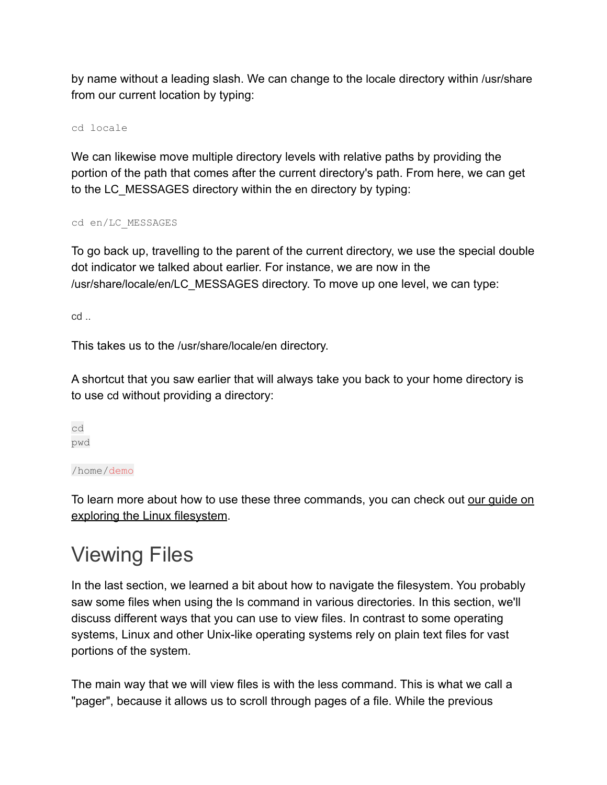by name without a leading slash. We can change to the locale directory within /usr/share from our current location by typing:

cd locale

We can likewise move multiple directory levels with relative paths by providing the portion of the path that comes after the current directory's path. From here, we can get to the LC\_MESSAGES directory within the en directory by typing:

cd en/LC\_MESSAGES

To go back up, travelling to the parent of the current directory, we use the special double dot indicator we talked about earlier. For instance, we are now in the /usr/share/locale/en/LC\_MESSAGES directory. To move up one level, we can type:

cd ..

This takes us to the /usr/share/locale/en directory.

A shortcut that you saw earlier that will always take you back to your home directory is to use cd without providing a directory:

cd pwd

/home/demo

To learn more about how to use these three commands, you can check out our quide on [exploring the Linux filesystem](https://www.digitalocean.com/community/tutorials/how-to-use-cd-pwd-and-ls-to-explore-the-file-system-on-a-linux-server).

# Viewing Files

In the last section, we learned a bit about how to navigate the filesystem. You probably saw some files when using the ls command in various directories. In this section, we'll discuss different ways that you can use to view files. In contrast to some operating systems, Linux and other Unix-like operating systems rely on plain text files for vast portions of the system.

The main way that we will view files is with the less command. This is what we call a "pager", because it allows us to scroll through pages of a file. While the previous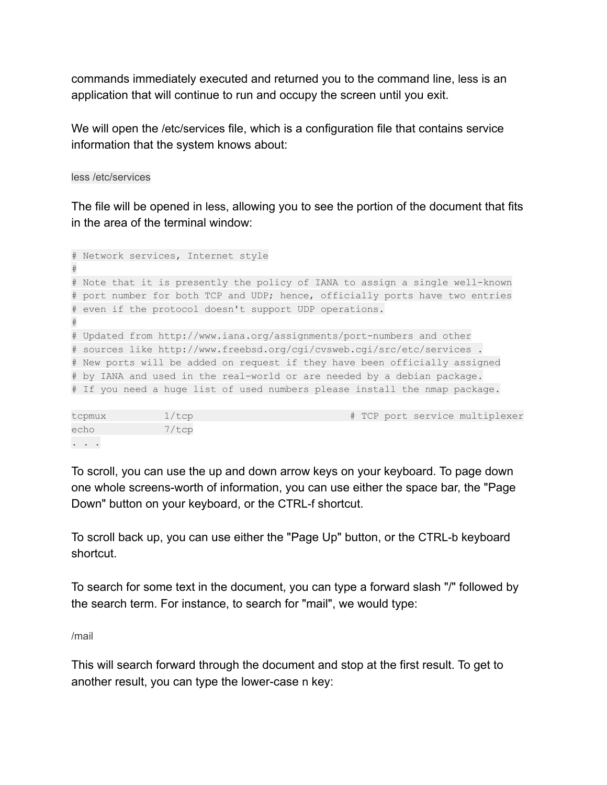commands immediately executed and returned you to the command line, less is an application that will continue to run and occupy the screen until you exit.

We will open the /etc/services file, which is a configuration file that contains service information that the system knows about:

less /etc/services

The file will be opened in less, allowing you to see the portion of the document that fits in the area of the terminal window:

```
# Network services, Internet style
#
# Note that it is presently the policy of IANA to assign a single well-known
# port number for both TCP and UDP; hence, officially ports have two entries
# even if the protocol doesn't support UDP operations.
#
# Updated from http://www.iana.org/assignments/port-numbers and other
# sources like http://www.freebsd.org/cgi/cvsweb.cgi/src/etc/services .
# New ports will be added on request if they have been officially assigned
# by IANA and used in the real-world or are needed by a debian package.
# If you need a huge list of used numbers please install the nmap package.
```

| tcpmux                                                                                      | $1/\texttt{tcp}$ |  |  | # TCP port service multiplexer |
|---------------------------------------------------------------------------------------------|------------------|--|--|--------------------------------|
| echo                                                                                        | 7/tcp            |  |  |                                |
| $\begin{array}{cccccccccccccc} \bullet & \bullet & \bullet & \bullet & \bullet \end{array}$ |                  |  |  |                                |

To scroll, you can use the up and down arrow keys on your keyboard. To page down one whole screens-worth of information, you can use either the space bar, the "Page Down" button on your keyboard, or the CTRL-f shortcut.

To scroll back up, you can use either the "Page Up" button, or the CTRL-b keyboard shortcut.

To search for some text in the document, you can type a forward slash "/" followed by the search term. For instance, to search for "mail", we would type:

/mail

This will search forward through the document and stop at the first result. To get to another result, you can type the lower-case n key: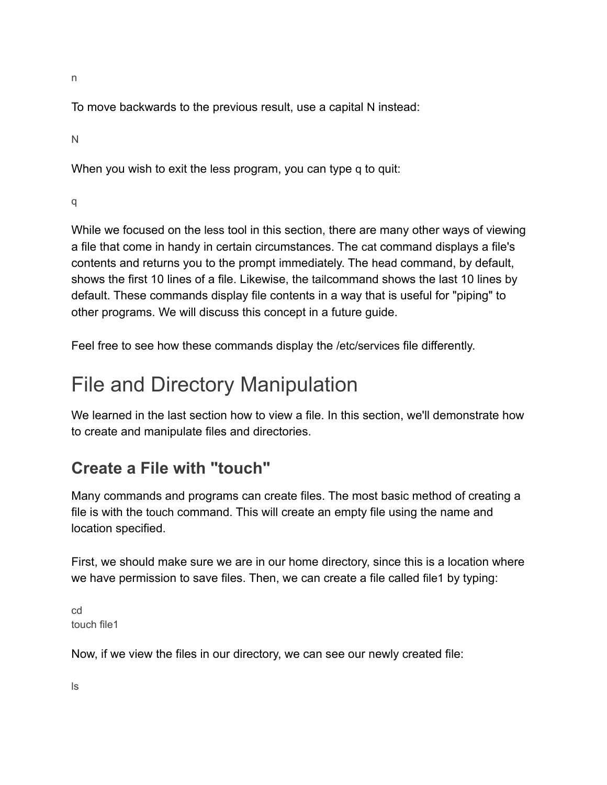n

To move backwards to the previous result, use a capital N instead:

N

When you wish to exit the less program, you can type q to quit:

q

While we focused on the less tool in this section, there are many other ways of viewing a file that come in handy in certain circumstances. The cat command displays a file's contents and returns you to the prompt immediately. The head command, by default, shows the first 10 lines of a file. Likewise, the tailcommand shows the last 10 lines by default. These commands display file contents in a way that is useful for "piping" to other programs. We will discuss this concept in a future guide.

Feel free to see how these commands display the /etc/services file differently.

# File and Directory Manipulation

We learned in the last section how to view a file. In this section, we'll demonstrate how to create and manipulate files and directories.

## **Create a File with "touch"**

Many commands and programs can create files. The most basic method of creating a file is with the touch command. This will create an empty file using the name and location specified.

First, we should make sure we are in our home directory, since this is a location where we have permission to save files. Then, we can create a file called file1 by typing:

cd touch file1

Now, if we view the files in our directory, we can see our newly created file:

ls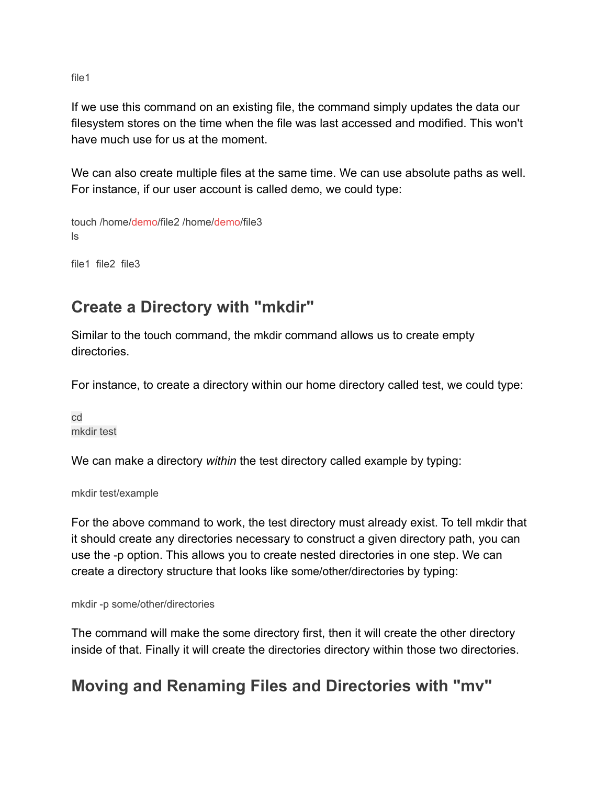file1

If we use this command on an existing file, the command simply updates the data our filesystem stores on the time when the file was last accessed and modified. This won't have much use for us at the moment.

We can also create multiple files at the same time. We can use absolute paths as well. For instance, if our user account is called demo, we could type:

touch /home/demo/file2 /home/demo/file3 ls

file1 file2 file3

## **Create a Directory with "mkdir"**

Similar to the touch command, the mkdir command allows us to create empty directories.

For instance, to create a directory within our home directory called test, we could type:

cd mkdir test

We can make a directory *within* the test directory called example by typing:

mkdir test/example

For the above command to work, the test directory must already exist. To tell mkdir that it should create any directories necessary to construct a given directory path, you can use the -p option. This allows you to create nested directories in one step. We can create a directory structure that looks like some/other/directories by typing:

mkdir -p some/other/directories

The command will make the some directory first, then it will create the other directory inside of that. Finally it will create the directories directory within those two directories.

## **Moving and Renaming Files and Directories with "mv"**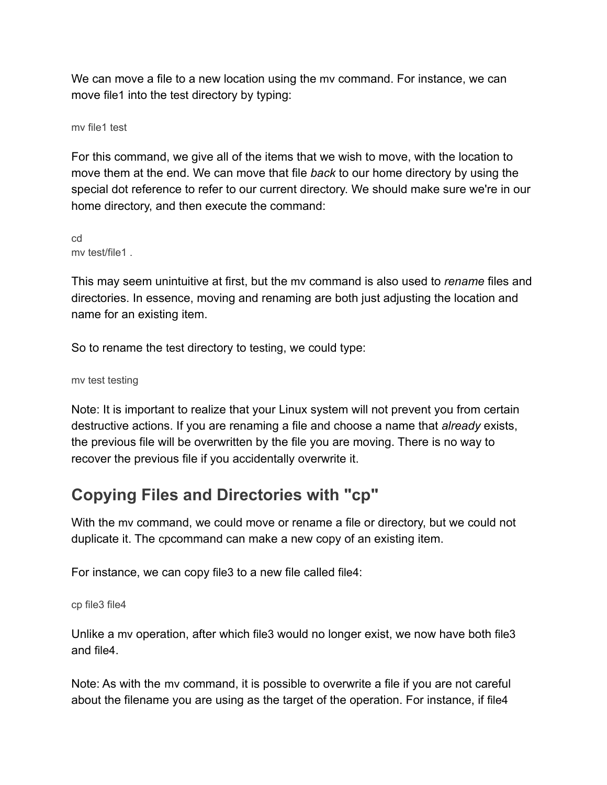We can move a file to a new location using the mv command. For instance, we can move file1 into the test directory by typing:

mv file1 test

For this command, we give all of the items that we wish to move, with the location to move them at the end. We can move that file *back* to our home directory by using the special dot reference to refer to our current directory. We should make sure we're in our home directory, and then execute the command:

cd my test/file1

This may seem unintuitive at first, but the mv command is also used to *rename* files and directories. In essence, moving and renaming are both just adjusting the location and name for an existing item.

So to rename the test directory to testing, we could type:

mv test testing

Note: It is important to realize that your Linux system will not prevent you from certain destructive actions. If you are renaming a file and choose a name that *already* exists, the previous file will be overwritten by the file you are moving. There is no way to recover the previous file if you accidentally overwrite it.

## **Copying Files and Directories with "cp"**

With the mv command, we could move or rename a file or directory, but we could not duplicate it. The cpcommand can make a new copy of an existing item.

For instance, we can copy file3 to a new file called file4:

cp file3 file4

Unlike a mv operation, after which file3 would no longer exist, we now have both file3 and file4.

Note: As with the mv command, it is possible to overwrite a file if you are not careful about the filename you are using as the target of the operation. For instance, if file4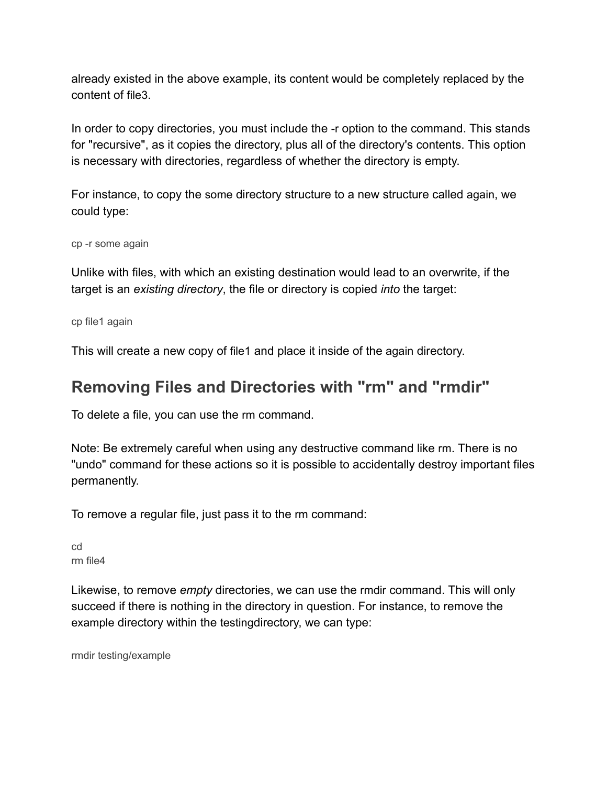already existed in the above example, its content would be completely replaced by the content of file3.

In order to copy directories, you must include the -r option to the command. This stands for "recursive", as it copies the directory, plus all of the directory's contents. This option is necessary with directories, regardless of whether the directory is empty.

For instance, to copy the some directory structure to a new structure called again, we could type:

cp -r some again

Unlike with files, with which an existing destination would lead to an overwrite, if the target is an *existing directory*, the file or directory is copied *into* the target:

cp file1 again

This will create a new copy of file1 and place it inside of the again directory.

### **Removing Files and Directories with "rm" and "rmdir"**

To delete a file, you can use the rm command.

Note: Be extremely careful when using any destructive command like rm. There is no "undo" command for these actions so it is possible to accidentally destroy important files permanently.

To remove a regular file, just pass it to the rm command:

| cd |          |
|----|----------|
|    | rm file4 |

Likewise, to remove *empty* directories, we can use the rmdir command. This will only succeed if there is nothing in the directory in question. For instance, to remove the example directory within the testingdirectory, we can type:

rmdir testing/example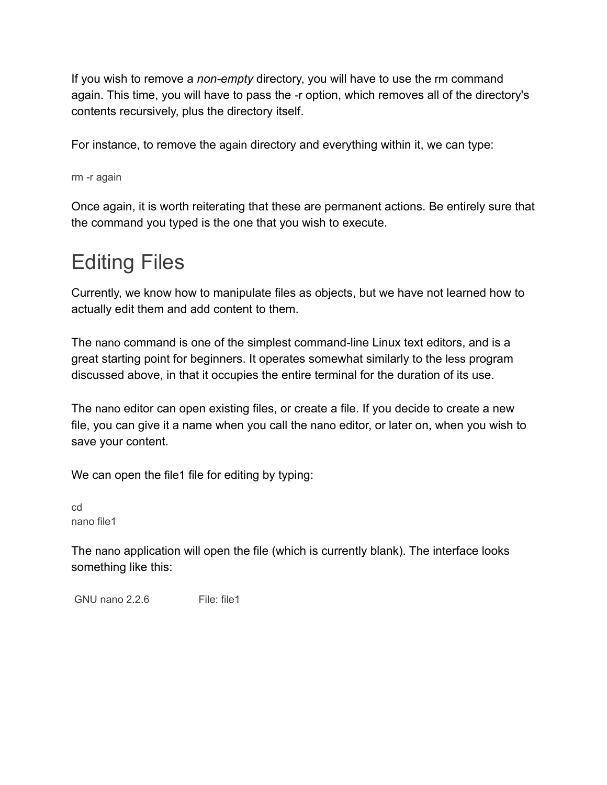If you wish to remove a *non-empty* directory, you will have to use the rm command again. This time, you will have to pass the -r option, which removes all of the directory's contents recursively, plus the directory itself.

For instance, to remove the again directory and everything within it, we can type:

rm -r again

Once again, it is worth reiterating that these are permanent actions. Be entirely sure that the command you typed is the one that you wish to execute.

# Editing Files

Currently, we know how to manipulate files as objects, but we have not learned how to actually edit them and add content to them.

The nano command is one of the simplest command-line Linux text editors, and is a great starting point for beginners. It operates somewhat similarly to the less program discussed above, in that it occupies the entire terminal for the duration of its use.

The nano editor can open existing files, or create a file. If you decide to create a new file, you can give it a name when you call the nano editor, or later on, when you wish to save your content.

We can open the file1 file for editing by typing:

cd nano file1

The nano application will open the file (which is currently blank). The interface looks something like this:

GNU nano 2.2.6 File: file1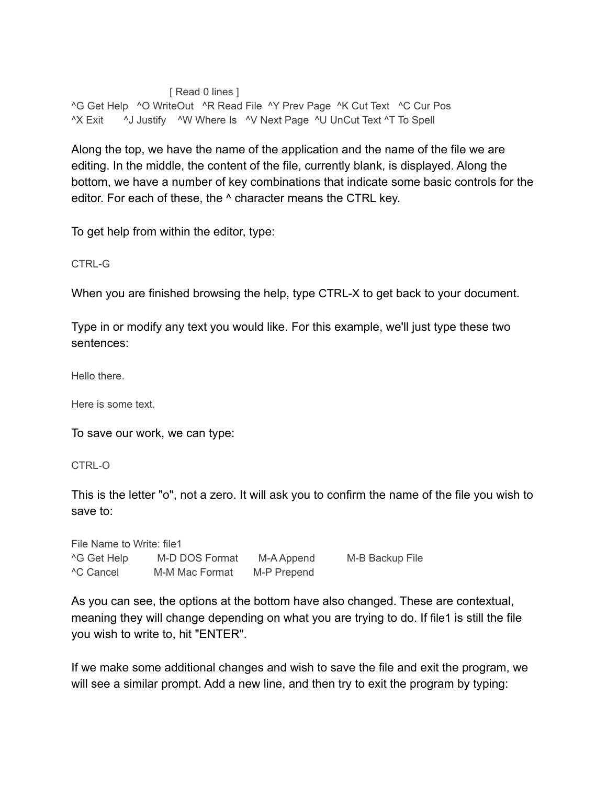#### [ Read 0 lines ]

^G Get Help ^O WriteOut ^R Read File ^Y Prev Page ^K Cut Text ^C Cur Pos ^X Exit ^J Justify ^W Where Is ^V Next Page ^U UnCut Text ^T To Spell

Along the top, we have the name of the application and the name of the file we are editing. In the middle, the content of the file, currently blank, is displayed. Along the bottom, we have a number of key combinations that indicate some basic controls for the editor. For each of these, the ^ character means the CTRL key.

To get help from within the editor, type:

#### CTRL-G

When you are finished browsing the help, type CTRL-X to get back to your document.

Type in or modify any text you would like. For this example, we'll just type these two sentences:

Hello there.

Here is some text.

To save our work, we can type:

CTRL-O

This is the letter "o", not a zero. It will ask you to confirm the name of the file you wish to save to:

File Name to Write: file1 ^G Get Help M-D DOS Format M-A Append M-B Backup File ^C Cancel M-M Mac Format M-P Prepend

As you can see, the options at the bottom have also changed. These are contextual, meaning they will change depending on what you are trying to do. If file1 is still the file you wish to write to, hit "ENTER".

If we make some additional changes and wish to save the file and exit the program, we will see a similar prompt. Add a new line, and then try to exit the program by typing: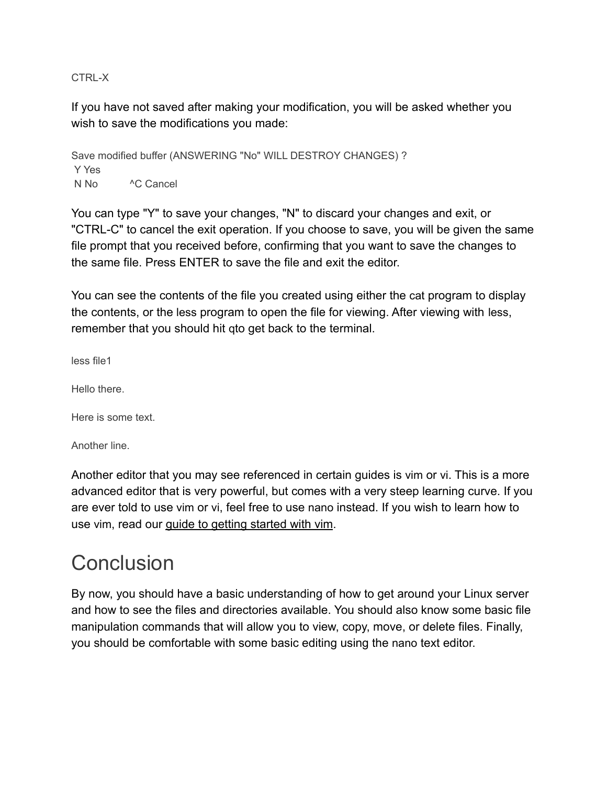CTRL-X

If you have not saved after making your modification, you will be asked whether you wish to save the modifications you made:

Save modified buffer (ANSWERING "No" WILL DESTROY CHANGES) ? Y Yes N No <sup>A</sup>C Cancel

You can type "Y" to save your changes, "N" to discard your changes and exit, or "CTRL-C" to cancel the exit operation. If you choose to save, you will be given the same file prompt that you received before, confirming that you want to save the changes to the same file. Press ENTER to save the file and exit the editor.

You can see the contents of the file you created using either the cat program to display the contents, or the less program to open the file for viewing. After viewing with less, remember that you should hit qto get back to the terminal.

less file1

Hello there.

Here is some text.

Another line.

Another editor that you may see referenced in certain guides is vim or vi. This is a more advanced editor that is very powerful, but comes with a very steep learning curve. If you are ever told to use vim or vi, feel free to use nano instead. If you wish to learn how to use vim, read our [guide to getting started with vim](https://www.digitalocean.com/community/tutorials/installing-and-using-the-vim-text-editor-on-a-cloud-server).

# **Conclusion**

By now, you should have a basic understanding of how to get around your Linux server and how to see the files and directories available. You should also know some basic file manipulation commands that will allow you to view, copy, move, or delete files. Finally, you should be comfortable with some basic editing using the nano text editor.